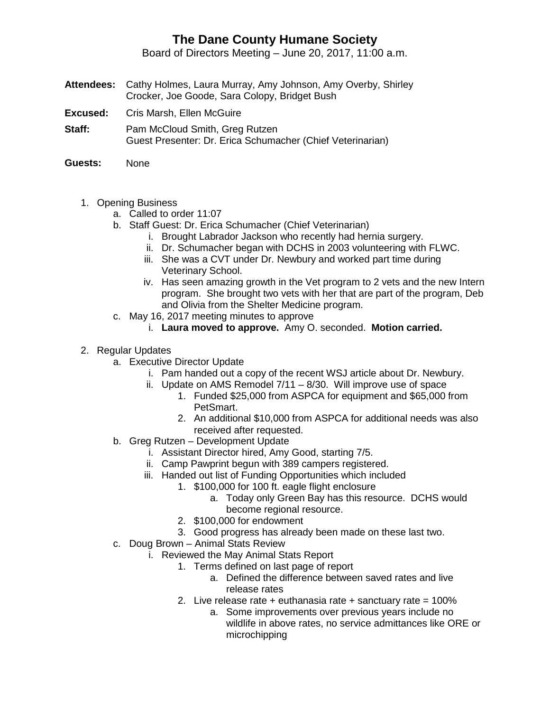## **The Dane County Humane Society**

Board of Directors Meeting – June 20, 2017, 11:00 a.m.

- **Attendees:** Cathy Holmes, Laura Murray, Amy Johnson, Amy Overby, Shirley Crocker, Joe Goode, Sara Colopy, Bridget Bush
- **Excused:** Cris Marsh, Ellen McGuire
- **Staff:** Pam McCloud Smith, Greg Rutzen Guest Presenter: Dr. Erica Schumacher (Chief Veterinarian)
- **Guests:** None
	- 1. Opening Business
		- a. Called to order 11:07
		- b. Staff Guest: Dr. Erica Schumacher (Chief Veterinarian)
			- i. Brought Labrador Jackson who recently had hernia surgery.
			- ii. Dr. Schumacher began with DCHS in 2003 volunteering with FLWC.
			- iii. She was a CVT under Dr. Newbury and worked part time during Veterinary School.
			- iv. Has seen amazing growth in the Vet program to 2 vets and the new Intern program. She brought two vets with her that are part of the program, Deb and Olivia from the Shelter Medicine program.
		- c. May 16, 2017 meeting minutes to approve
			- i. **Laura moved to approve.** Amy O. seconded. **Motion carried.**
	- 2. Regular Updates
		- a. Executive Director Update
			- i. Pam handed out a copy of the recent WSJ article about Dr. Newbury.
			- ii. Update on AMS Remodel 7/11 8/30. Will improve use of space
				- 1. Funded \$25,000 from ASPCA for equipment and \$65,000 from PetSmart.
				- 2. An additional \$10,000 from ASPCA for additional needs was also received after requested.
		- b. Greg Rutzen Development Update
			- i. Assistant Director hired, Amy Good, starting 7/5.
			- ii. Camp Pawprint begun with 389 campers registered.
			- iii. Handed out list of Funding Opportunities which included
				- 1. \$100,000 for 100 ft. eagle flight enclosure
					- a. Today only Green Bay has this resource. DCHS would become regional resource.
				- 2. \$100,000 for endowment
				- 3. Good progress has already been made on these last two.
		- c. Doug Brown Animal Stats Review
			- i. Reviewed the May Animal Stats Report
				- 1. Terms defined on last page of report
					- a. Defined the difference between saved rates and live release rates
				- 2. Live release rate  $+$  euthanasia rate  $+$  sanctuary rate  $=$  100%
					- a. Some improvements over previous years include no wildlife in above rates, no service admittances like ORE or microchipping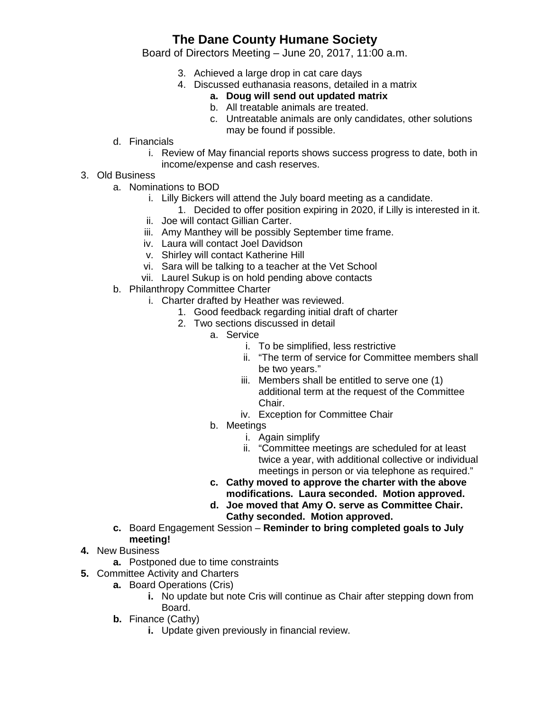## **The Dane County Humane Society**

Board of Directors Meeting – June 20, 2017, 11:00 a.m.

- 3. Achieved a large drop in cat care days
- 4. Discussed euthanasia reasons, detailed in a matrix
	- **a. Doug will send out updated matrix**
	- b. All treatable animals are treated.
	- c. Untreatable animals are only candidates, other solutions may be found if possible.
- d. Financials
	- i. Review of May financial reports shows success progress to date, both in income/expense and cash reserves.
- 3. Old Business
	- a. Nominations to BOD
		- i. Lilly Bickers will attend the July board meeting as a candidate.
			- 1. Decided to offer position expiring in 2020, if Lilly is interested in it.
		- ii. Joe will contact Gillian Carter.
		- iii. Amy Manthey will be possibly September time frame.
		- iv. Laura will contact Joel Davidson
		- v. Shirley will contact Katherine Hill
		- vi. Sara will be talking to a teacher at the Vet School
		- vii. Laurel Sukup is on hold pending above contacts
	- b. Philanthropy Committee Charter
		- i. Charter drafted by Heather was reviewed.
			- 1. Good feedback regarding initial draft of charter
			- 2. Two sections discussed in detail
				- a. Service
					- i. To be simplified, less restrictive
					- ii. "The term of service for Committee members shall be two years."
					- iii. Members shall be entitled to serve one (1) additional term at the request of the Committee Chair.
					- iv. Exception for Committee Chair
					- b. Meetings
						- i. Again simplify
						- ii. "Committee meetings are scheduled for at least twice a year, with additional collective or individual meetings in person or via telephone as required."
				- **c. Cathy moved to approve the charter with the above modifications. Laura seconded. Motion approved.**
				- **d. Joe moved that Amy O. serve as Committee Chair. Cathy seconded. Motion approved.**
	- **c.** Board Engagement Session **Reminder to bring completed goals to July meeting!**
- **4.** New Business
	- **a.** Postponed due to time constraints
- **5.** Committee Activity and Charters
	- **a.** Board Operations (Cris)
		- **i.** No update but note Cris will continue as Chair after stepping down from Board.
	- **b.** Finance (Cathy)
		- **i.** Update given previously in financial review.